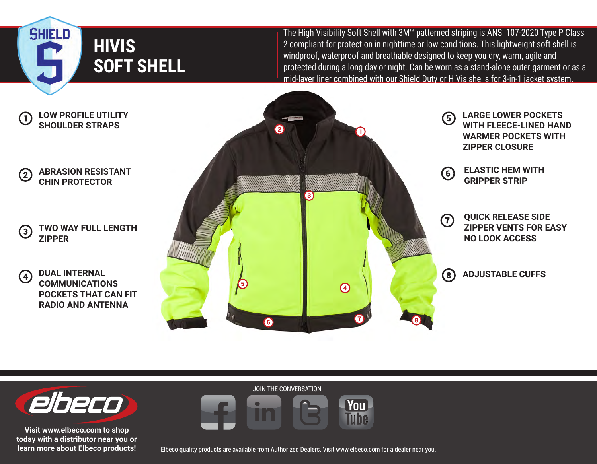

 $\mathbf \Omega$ 

 $(2)$ 

 $\left( 3\right)$ 

 $\left( 4\right)$ 

The High Visibility Soft Shell with 3M™ patterned striping is ANSI 107-2020 Type P Class 2 compliant for protection in nighttime or low conditions. This lightweight soft shell is windproof, waterproof and breathable designed to keep you dry, warm, agile and protected during a long day or night. Can be worn as a stand-alone outer garment or as a mid-layer liner combined with our Shield Duty or HiVis shells for 3-in-1 jacket system.



**You** Tuhe



**Visit www.elbeco.com to shop today with a distributor near you or learn more about Elbeco products!**



JOIN THE CONVERSATION